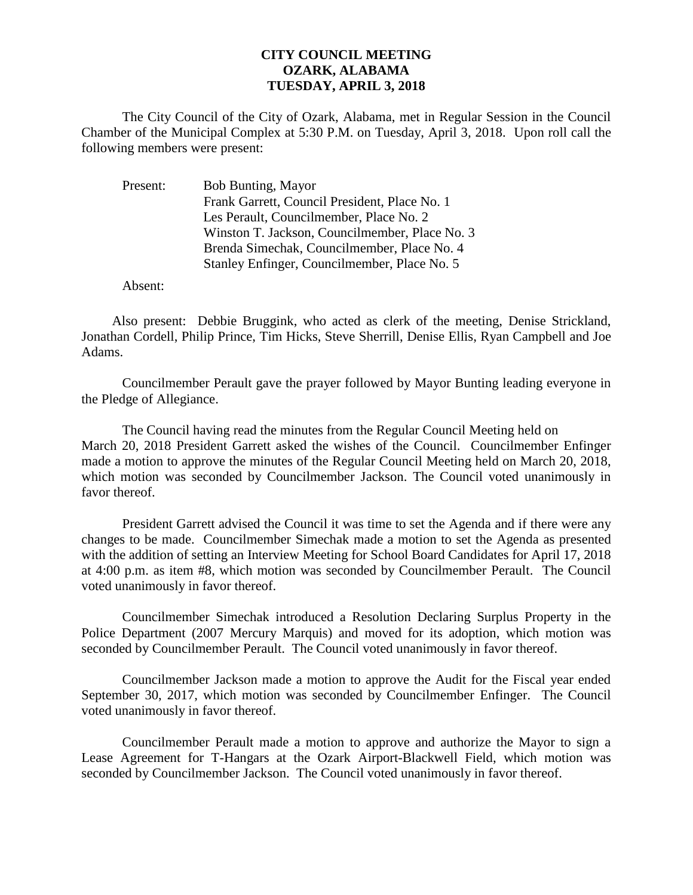## **CITY COUNCIL MEETING OZARK, ALABAMA TUESDAY, APRIL 3, 2018**

The City Council of the City of Ozark, Alabama, met in Regular Session in the Council Chamber of the Municipal Complex at 5:30 P.M. on Tuesday, April 3, 2018. Upon roll call the following members were present:

| <b>Bob Bunting, Mayor</b>                      |
|------------------------------------------------|
| Frank Garrett, Council President, Place No. 1  |
| Les Perault, Councilmember, Place No. 2        |
| Winston T. Jackson, Councilmember, Place No. 3 |
| Brenda Simechak, Councilmember, Place No. 4    |
| Stanley Enfinger, Councilmember, Place No. 5   |
|                                                |

Absent:

Also present: Debbie Bruggink, who acted as clerk of the meeting, Denise Strickland, Jonathan Cordell, Philip Prince, Tim Hicks, Steve Sherrill, Denise Ellis, Ryan Campbell and Joe Adams.

Councilmember Perault gave the prayer followed by Mayor Bunting leading everyone in the Pledge of Allegiance.

The Council having read the minutes from the Regular Council Meeting held on March 20, 2018 President Garrett asked the wishes of the Council. Councilmember Enfinger made a motion to approve the minutes of the Regular Council Meeting held on March 20, 2018, which motion was seconded by Councilmember Jackson. The Council voted unanimously in favor thereof.

President Garrett advised the Council it was time to set the Agenda and if there were any changes to be made. Councilmember Simechak made a motion to set the Agenda as presented with the addition of setting an Interview Meeting for School Board Candidates for April 17, 2018 at 4:00 p.m. as item #8, which motion was seconded by Councilmember Perault. The Council voted unanimously in favor thereof.

Councilmember Simechak introduced a Resolution Declaring Surplus Property in the Police Department (2007 Mercury Marquis) and moved for its adoption, which motion was seconded by Councilmember Perault. The Council voted unanimously in favor thereof.

Councilmember Jackson made a motion to approve the Audit for the Fiscal year ended September 30, 2017, which motion was seconded by Councilmember Enfinger. The Council voted unanimously in favor thereof.

Councilmember Perault made a motion to approve and authorize the Mayor to sign a Lease Agreement for T-Hangars at the Ozark Airport-Blackwell Field, which motion was seconded by Councilmember Jackson. The Council voted unanimously in favor thereof.